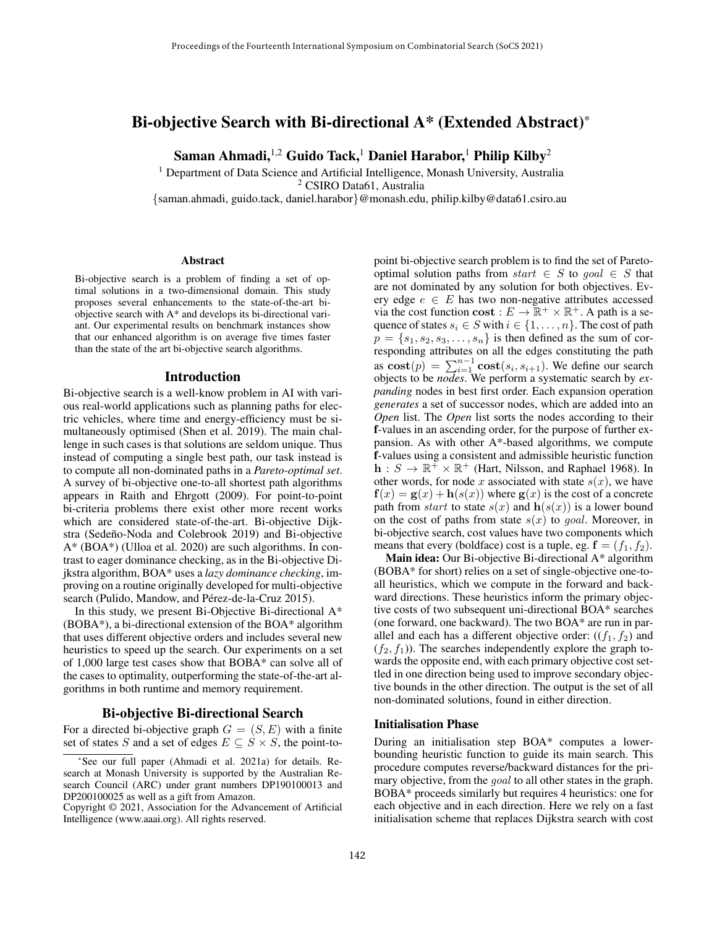# Bi-objective Search with Bi-directional A\* (Extended Abstract)\*

Saman Ahmadi,<sup>1,2</sup> Guido Tack,<sup>1</sup> Daniel Harabor,<sup>1</sup> Philip Kilby<sup>2</sup>

<sup>1</sup> Department of Data Science and Artificial Intelligence, Monash University, Australia <sup>2</sup> CSIRO Data61, Australia

{saman.ahmadi, guido.tack, daniel.harabor}@monash.edu, philip.kilby@data61.csiro.au

#### **Abstract**

Bi-objective search is a problem of finding a set of optimal solutions in a two-dimensional domain. This study proposes several enhancements to the state-of-the-art biobjective search with A\* and develops its bi-directional variant. Our experimental results on benchmark instances show that our enhanced algorithm is on average five times faster than the state of the art bi-objective search algorithms.

#### Introduction

Bi-objective search is a well-know problem in AI with various real-world applications such as planning paths for electric vehicles, where time and energy-efficiency must be simultaneously optimised (Shen et al. 2019). The main challenge in such cases is that solutions are seldom unique. Thus instead of computing a single best path, our task instead is to compute all non-dominated paths in a *Pareto-optimal set*. A survey of bi-objective one-to-all shortest path algorithms appears in Raith and Ehrgott (2009). For point-to-point bi-criteria problems there exist other more recent works which are considered state-of-the-art. Bi-objective Dijkstra (Sedeño-Noda and Colebrook 2019) and Bi-objective A\* (BOA\*) (Ulloa et al. 2020) are such algorithms. In contrast to eager dominance checking, as in the Bi-objective Dijkstra algorithm, BOA\* uses a *lazy dominance checking*, improving on a routine originally developed for multi-objective search (Pulido, Mandow, and Pérez-de-la-Cruz 2015).

In this study, we present Bi-Objective Bi-directional A\* (BOBA\*), a bi-directional extension of the BOA\* algorithm that uses different objective orders and includes several new heuristics to speed up the search. Our experiments on a set of 1,000 large test cases show that BOBA\* can solve all of the cases to optimality, outperforming the state-of-the-art algorithms in both runtime and memory requirement.

## Bi-objective Bi-directional Search

For a directed bi-objective graph  $G = (S, E)$  with a finite set of states S and a set of edges  $E \subseteq S \times S$ , the point-topoint bi-objective search problem is to find the set of Paretooptimal solution paths from  $start \in S$  to  $goal \in S$  that are not dominated by any solution for both objectives. Every edge  $e \in E$  has two non-negative attributes accessed via the cost function cost :  $E \to \mathbb{R}^+ \times \mathbb{R}^+$ . A path is a sequence of states  $s_i \in S$  with  $i \in \{1, \ldots, n\}$ . The cost of path  $p = \{s_1, s_2, s_3, \ldots, s_n\}$  is then defined as the sum of corresponding attributes on all the edges constituting the path as  $\textbf{cost}(p) = \sum_{i=1}^{n-1} \textbf{cost}(s_i, s_{i+1})$ . We define our search objects to be *nodes*. We perform a systematic search by *expanding* nodes in best first order. Each expansion operation *generates* a set of successor nodes, which are added into an *Open* list. The *Open* list sorts the nodes according to their f-values in an ascending order, for the purpose of further expansion. As with other A\*-based algorithms, we compute f-values using a consistent and admissible heuristic function  $\mathbf{h}: S \to \mathbb{R}^+ \times \mathbb{R}^+$  (Hart, Nilsson, and Raphael 1968). In other words, for node x associated with state  $s(x)$ , we have  $f(x) = g(x) + h(s(x))$  where  $g(x)$  is the cost of a concrete path from *start* to state  $s(x)$  and  $h(s(x))$  is a lower bound on the cost of paths from state  $s(x)$  to *goal*. Moreover, in bi-objective search, cost values have two components which means that every (boldface) cost is a tuple, eg.  $f = (f_1, f_2)$ .

Main idea: Our Bi-objective Bi-directional A\* algorithm (BOBA\* for short) relies on a set of single-objective one-toall heuristics, which we compute in the forward and backward directions. These heuristics inform the primary objective costs of two subsequent uni-directional BOA\* searches (one forward, one backward). The two BOA\* are run in parallel and each has a different objective order:  $((f_1, f_2)$  and  $(f_2, f_1)$ ). The searches independently explore the graph towards the opposite end, with each primary objective cost settled in one direction being used to improve secondary objective bounds in the other direction. The output is the set of all non-dominated solutions, found in either direction.

### Initialisation Phase

During an initialisation step BOA\* computes a lowerbounding heuristic function to guide its main search. This procedure computes reverse/backward distances for the primary objective, from the *goal* to all other states in the graph. BOBA\* proceeds similarly but requires 4 heuristics: one for each objective and in each direction. Here we rely on a fast initialisation scheme that replaces Dijkstra search with cost

<sup>\*</sup>See our full paper (Ahmadi et al. 2021a) for details. Research at Monash University is supported by the Australian Research Council (ARC) under grant numbers DP190100013 and DP200100025 as well as a gift from Amazon.

Copyright © 2021, Association for the Advancement of Artificial Intelligence (www.aaai.org). All rights reserved.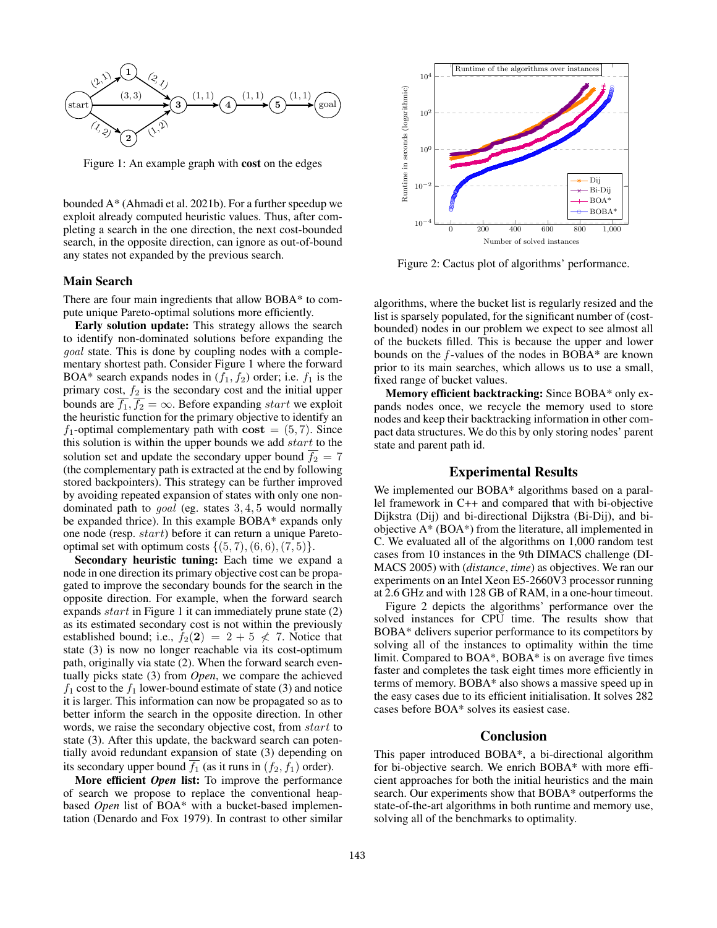

Figure 1: An example graph with cost on the edges

bounded A\* (Ahmadi et al. 2021b). For a further speedup we exploit already computed heuristic values. Thus, after completing a search in the one direction, the next cost-bounded search, in the opposite direction, can ignore as out-of-bound any states not expanded by the previous search.

#### Main Search

There are four main ingredients that allow BOBA\* to compute unique Pareto-optimal solutions more efficiently.

Early solution update: This strategy allows the search to identify non-dominated solutions before expanding the goal state. This is done by coupling nodes with a complementary shortest path. Consider Figure 1 where the forward BOA\* search expands nodes in  $(f_1, f_2)$  order; i.e.  $f_1$  is the primary cost,  $f_2$  is the secondary cost and the initial upper bounds are  $\overline{f_1}, \overline{f_2} = \infty$ . Before expanding start we exploit the heuristic function for the primary objective to identify an  $f_1$ -optimal complementary path with cost = (5,7). Since this solution is within the upper bounds we add  $start$  to the solution set and update the secondary upper bound  $\overline{f_2} = 7$ (the complementary path is extracted at the end by following stored backpointers). This strategy can be further improved by avoiding repeated expansion of states with only one nondominated path to goal (eg. states 3, 4, 5 would normally be expanded thrice). In this example BOBA\* expands only one node (resp. start) before it can return a unique Paretooptimal set with optimum costs  $\{(5, 7), (6, 6), (7, 5)\}.$ 

Secondary heuristic tuning: Each time we expand a node in one direction its primary objective cost can be propagated to improve the secondary bounds for the search in the opposite direction. For example, when the forward search expands start in Figure 1 it can immediately prune state (2) as its estimated secondary cost is not within the previously established bound; i.e.,  $f_2(2) = 2 + 5 \nless 7$ . Notice that state (3) is now no longer reachable via its cost-optimum path, originally via state (2). When the forward search eventually picks state (3) from *Open*, we compare the achieved  $f_1$  cost to the  $f_1$  lower-bound estimate of state (3) and notice it is larger. This information can now be propagated so as to better inform the search in the opposite direction. In other words, we raise the secondary objective cost, from start to state (3). After this update, the backward search can potentially avoid redundant expansion of state (3) depending on its secondary upper bound  $f_1$  (as it runs in  $(f_2, f_1)$  order).

More efficient *Open* list: To improve the performance of search we propose to replace the conventional heapbased *Open* list of BOA\* with a bucket-based implementation (Denardo and Fox 1979). In contrast to other similar



Figure 2: Cactus plot of algorithms' performance.

algorithms, where the bucket list is regularly resized and the list is sparsely populated, for the significant number of (costbounded) nodes in our problem we expect to see almost all of the buckets filled. This is because the upper and lower bounds on the  $f$ -values of the nodes in BOBA $*$  are known prior to its main searches, which allows us to use a small, fixed range of bucket values.

Memory efficient backtracking: Since BOBA\* only expands nodes once, we recycle the memory used to store nodes and keep their backtracking information in other compact data structures. We do this by only storing nodes' parent state and parent path id.

#### Experimental Results

We implemented our BOBA\* algorithms based on a parallel framework in C++ and compared that with bi-objective Dijkstra (Dij) and bi-directional Dijkstra (Bi-Dij), and biobjective A\* (BOA\*) from the literature, all implemented in C. We evaluated all of the algorithms on 1,000 random test cases from 10 instances in the 9th DIMACS challenge (DI-MACS 2005) with (*distance*, *time*) as objectives. We ran our experiments on an Intel Xeon E5-2660V3 processor running at 2.6 GHz and with 128 GB of RAM, in a one-hour timeout.

Figure 2 depicts the algorithms' performance over the solved instances for CPU time. The results show that BOBA\* delivers superior performance to its competitors by solving all of the instances to optimality within the time limit. Compared to BOA\*, BOBA\* is on average five times faster and completes the task eight times more efficiently in terms of memory. BOBA\* also shows a massive speed up in the easy cases due to its efficient initialisation. It solves 282 cases before BOA\* solves its easiest case.

## Conclusion

This paper introduced BOBA\*, a bi-directional algorithm for bi-objective search. We enrich BOBA\* with more efficient approaches for both the initial heuristics and the main search. Our experiments show that BOBA\* outperforms the state-of-the-art algorithms in both runtime and memory use, solving all of the benchmarks to optimality.